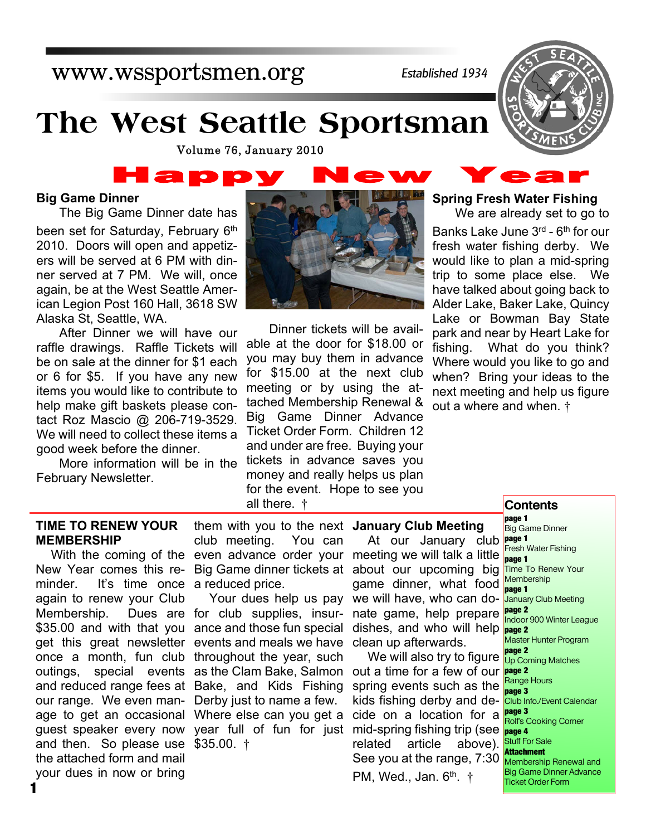# www.wssportsmen.org

*Established 1934*

# **The West Seattle Sportsman**

Volume 76, January 2010

# l a p p

#### **Big Game Dinner**

The Big Game Dinner date has

been set for Saturday, February 6<sup>th</sup> 2010. Doors will open and appetizers will be served at 6 PM with dinner served at 7 PM. We will, once again, be at the West Seattle American Legion Post 160 Hall, 3618 SW Alaska St, Seattle, WA.

After Dinner we will have our raffle drawings. Raffle Tickets will be on sale at the dinner for \$1 each or 6 for \$5. If you have any new items you would like to contribute to help make gift baskets please contact Roz Mascio @ 206-719-3529. We will need to collect these items a good week before the dinner.

More information will be in the February Newsletter.



Dinner tickets will be available at the door for \$18.00 or you may buy them in advance for \$15.00 at the next club meeting or by using the attached Membership Renewal & Big Game Dinner Advance Ticket Order Form. Children 12 and under are free. Buying your tickets in advance saves you money and really helps us plan for the event. Hope to see you all there. †

#### **Spring Fresh Water Fishing**

We are already set to go to Banks Lake June 3<sup>rd</sup> - 6<sup>th</sup> for our fresh water fishing derby. We would like to plan a mid-spring trip to some place else. We have talked about going back to Alder Lake, Baker Lake, Quincy Lake or Bowman Bay State park and near by Heart Lake for fishing. What do you think? Where would you like to go and when? Bring your ideas to the next meeting and help us figure out a where and when. †

#### **TIME TO RENEW YOUR MEMBERSHIP**

New Year comes this re-Big Game dinner tickets at about our upcoming big minder. It's time once a reduced price. again to renew your Club Membership. \$35.00 and with that you ance and those fun special get this great newsletter events and meals we have once a month, fun club throughout the year, such outings, special events as the Clam Bake, Salmon and reduced range fees at Bake, and Kids Fishing our range. We even man-Derby just to name a few. age to get an occasional Where else can you get a guest speaker every now year full of fun for just mid-spring fishing trip (see and then. So please use \$35.00. † the attached form and mail your dues in now or bring

them with you to the next **January Club Meeting** club meeting. You can

Your dues help us pay Dues are for club supplies, insur-

With the coming of the even advance order your meeting we will talk a little At our January club **page 1** game dinner, what food we will have, who can donate game, help prepare dishes, and who will help clean up afterwards.

> We will also try to figure out a time for a few of our spring events such as the kids fishing derby and decide on a location for a **page 3** related article above). See you at the range, 7:30

PM, Wed., Jan. 6<sup>th</sup>. †

**Contents**

**page 1** Big Game Dinner Fresh Water Fishing **page 1** Time To Renew Your **Membership page 1** January Club Meeting **page 2** Indoor 900 Winter League **page 2** Master Hunter Program **page 2** Up Coming Matches **page 2** Range Hours **page 3** Club Info./Event Calendar Rolf's Cooking Corner **page 4 Stuff For Sale Attachment Membership Renewal and** Big Game Dinner Advance Ticket Order Form

**1**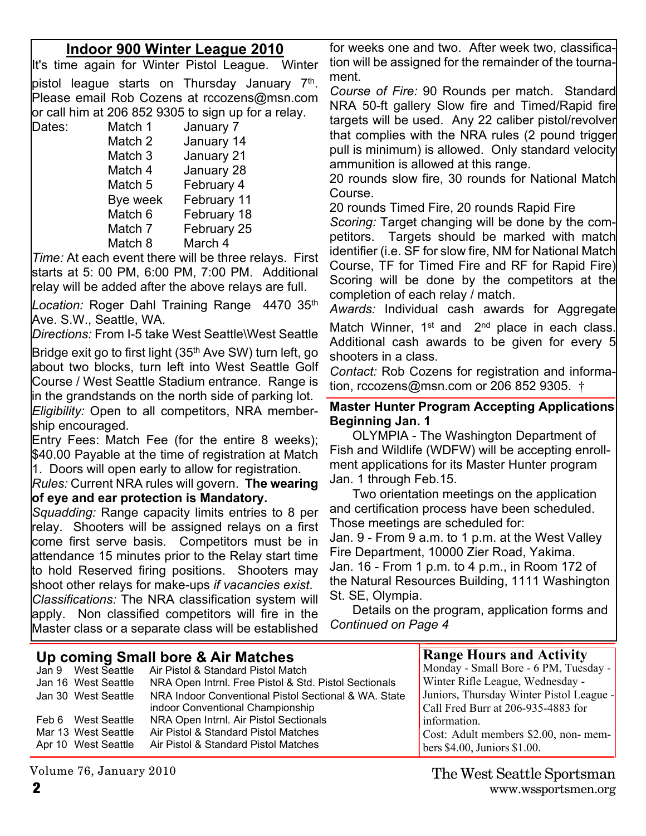### **Indoor 900 Winter League 2010**

It's time again for Winter Pistol League. Winter pistol league starts on Thursday January 7<sup>th</sup>. Please email Rob Cozens at rccozens@msn.com or call him at 206 852 9305 to sign up for a relay.

Dates: Match 1 January 7 Match 2 January 14 Match 3 January 21 Match 4 January 28 Match 5 February 4 Bye week February 11 Match 6 February 18 Match 7 February 25 Match 8 March 4

*Time:* At each event there will be three relays. First starts at 5: 00 PM, 6:00 PM, 7:00 PM. Additional relay will be added after the above relays are full.

*Location:* Roger Dahl Training Range 4470 35th Ave. S.W., Seattle, WA.

*Directions:* From I-5 take West Seattle\West Seattle

Bridge exit go to first light (35<sup>th</sup> Ave SW) turn left, go about two blocks, turn left into West Seattle Golf Course / West Seattle Stadium entrance. Range is in the grandstands on the north side of parking lot. *Eligibility:* Open to all competitors, NRA membership encouraged.

Entry Fees: Match Fee (for the entire 8 weeks); \$40.00 Payable at the time of registration at Match 1. Doors will open early to allow for registration.

*Rules:* Current NRA rules will govern. **The wearing of eye and ear protection is Mandatory.**

*Squadding:* Range capacity limits entries to 8 per relay. Shooters will be assigned relays on a first come first serve basis. Competitors must be in attendance 15 minutes prior to the Relay start time to hold Reserved firing positions. Shooters may shoot other relays for make-ups *if vacancies exist*.

*Classifications:* The NRA classification system will apply. Non classified competitors will fire in the Master class or a separate class will be established for weeks one and two. After week two, classification will be assigned for the remainder of the tournament.

*Course of Fire:* 90 Rounds per match. Standard NRA 50-ft gallery Slow fire and Timed/Rapid fire targets will be used. Any 22 caliber pistol/revolver that complies with the NRA rules (2 pound trigger pull is minimum) is allowed. Only standard velocity ammunition is allowed at this range.

20 rounds slow fire, 30 rounds for National Match Course.

20 rounds Timed Fire, 20 rounds Rapid Fire

*Scoring:* Target changing will be done by the competitors. Targets should be marked with match identifier (i.e. SF for slow fire, NM for National Match Course, TF for Timed Fire and RF for Rapid Fire) Scoring will be done by the competitors at the completion of each relay / match.

*Awards:* Individual cash awards for Aggregate Match Winner, 1<sup>st</sup> and 2<sup>nd</sup> place in each class. Additional cash awards to be given for every 5 shooters in a class.

*Contact:* Rob Cozens for registration and information, rccozens@msn.com or 206 852 9305. †

#### **Master Hunter Program Accepting Applications Beginning Jan. 1**

OLYMPIA - The Washington Department of Fish and Wildlife (WDFW) will be accepting enrollment applications for its Master Hunter program Jan. 1 through Feb.15.

Two orientation meetings on the application and certification process have been scheduled. Those meetings are scheduled for:

Jan. 9 - From 9 a.m. to 1 p.m. at the West Valley Fire Department, 10000 Zier Road, Yakima. Jan. 16 - From 1 p.m. to 4 p.m., in Room 172 of the Natural Resources Building, 1111 Washington St. SE, Olympia.

Details on the program, application forms and *Continued on Page 4*

|                     | Up coming Small bore & Air Matches                    | <b>Range Hours and Activity</b>          |
|---------------------|-------------------------------------------------------|------------------------------------------|
|                     | Jan 9 West Seattle Air Pistol & Standard Pistol Match | Monday - Small Bore - 6 PM, Tuesday -    |
| Jan 16 West Seattle | NRA Open Intrnl. Free Pistol & Std. Pistol Sectionals | Winter Rifle League, Wednesday -         |
| Jan 30 West Seattle | NRA Indoor Conventional Pistol Sectional & WA. State  | Juniors, Thursday Winter Pistol League - |
|                     | indoor Conventional Championship                      | Call Fred Burr at 206-935-4883 for       |
| Feb 6 West Seattle  | NRA Open Intrnl. Air Pistol Sectionals                | information.                             |
| Mar 13 West Seattle | Air Pistol & Standard Pistol Matches                  | Cost: Adult members \$2.00, non-mem-     |
| Apr 10 West Seattle | Air Pistol & Standard Pistol Matches                  | bers $$4.00$ , Juniors $$1.00$ .         |

**2** www.wssportsmen.org The West Seattle Sportsman

Volume 76, January 2010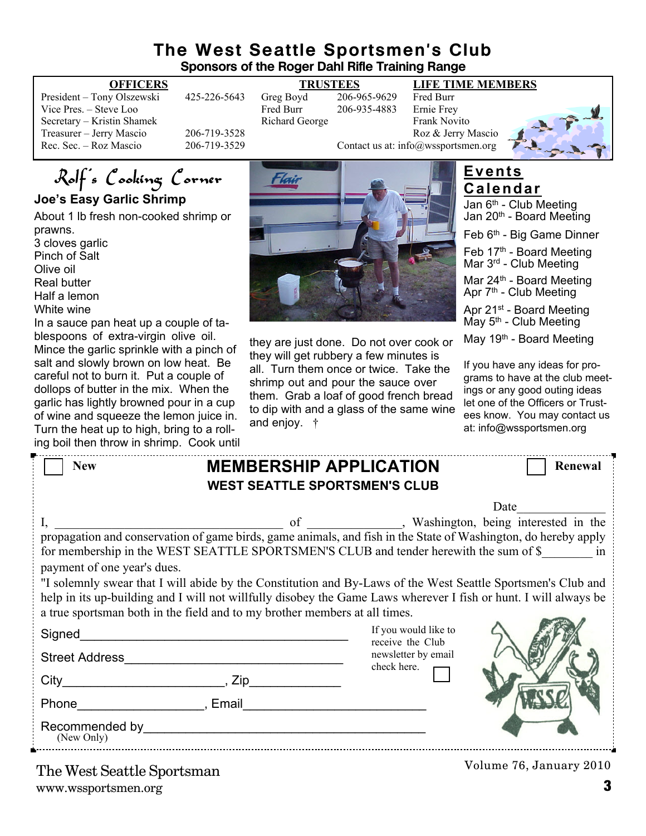#### **The West Seattle Sportsmen's Club Sponsors of the Roger Dahl Rifle Training Range**

| 42.             |
|-----------------|
|                 |
|                 |
| 20 <sub>0</sub> |
| <b>20</b>       |
|                 |

President – Tony Olszewski 426-965-9629<br>Fred Burr – 206-935-4883 Ernie Frev 206-935-4883 Richard George Frank Novito

#### **OFFICERS TRUSTEES LIFE TIME MEMBERS**



Rolf's Cooking Corner

**Joe's Easy Garlic Shrimp**

About 1 lb fresh non-cooked shrimp or prawns.

3 cloves garlic Pinch of Salt Olive oil Real butter Half a lemon

White wine

In a sauce pan heat up a couple of tablespoons of extra-virgin olive oil. Mince the garlic sprinkle with a pinch of salt and slowly brown on low heat. Be careful not to burn it. Put a couple of dollops of butter in the mix. When the garlic has lightly browned pour in a cup of wine and squeeze the lemon juice in. Turn the heat up to high, bring to a rolling boil then throw in shrimp. Cook until



#### they are just done. Do not over cook or they will get rubbery a few minutes is all. Turn them once or twice. Take the shrimp out and pour the sauce over them. Grab a loaf of good french bread to dip with and a glass of the same wine and enjoy. †

## **Events Calendar**

Jan 6<sup>th</sup> - Club Meeting Jan 20<sup>th</sup> - Board Meeting

Feb 6th - Big Game Dinner

Feb 17<sup>th</sup> - Board Meeting Mar 3rd - Club Meeting

Mar  $24<sup>th</sup>$  - Board Meeting Apr 7<sup>th</sup> - Club Meeting

Apr 21<sup>st</sup> - Board Meeting May 5<sup>th</sup> - Club Meeting

May 19<sup>th</sup> - Board Meeting

If you have any ideas for programs to have at the club meetings or any good outing ideas let one of the Officers or Trustees know. You may contact us at: info@wssportsmen.org

| <b>New</b>                  | <b>MEMBERSHIP APPLICATION</b><br><b>WEST SEATTLE SPORTSMEN'S CLUB</b>                                                                                                                                                                                                                                                                                                                                                                                                                                                           |                                                                                | Renewal                 |
|-----------------------------|---------------------------------------------------------------------------------------------------------------------------------------------------------------------------------------------------------------------------------------------------------------------------------------------------------------------------------------------------------------------------------------------------------------------------------------------------------------------------------------------------------------------------------|--------------------------------------------------------------------------------|-------------------------|
| payment of one year's dues. | I, propagation and conservation of game birds, game animals, and fish in the State of Washington, do hereby apply<br>for membership in the WEST SEATTLE SPORTSMEN'S CLUB and tender herewith the sum of \$ in<br>"I solemnly swear that I will abide by the Constitution and By-Laws of the West Seattle Sportsmen's Club and<br>help in its up-building and I will not willfully disobey the Game Laws wherever I fish or hunt. I will always be<br>a true sportsman both in the field and to my brother members at all times. |                                                                                | Date                    |
| <b>Street Address</b>       |                                                                                                                                                                                                                                                                                                                                                                                                                                                                                                                                 | If you would like to<br>receive the Club<br>newsletter by email<br>check here. |                         |
|                             |                                                                                                                                                                                                                                                                                                                                                                                                                                                                                                                                 |                                                                                |                         |
| (New Only)                  |                                                                                                                                                                                                                                                                                                                                                                                                                                                                                                                                 |                                                                                |                         |
| The West Seattle Sportsman  |                                                                                                                                                                                                                                                                                                                                                                                                                                                                                                                                 |                                                                                | Volume 76, January 2010 |

www.wssportsmen.org **3** The West Seattle Sportsman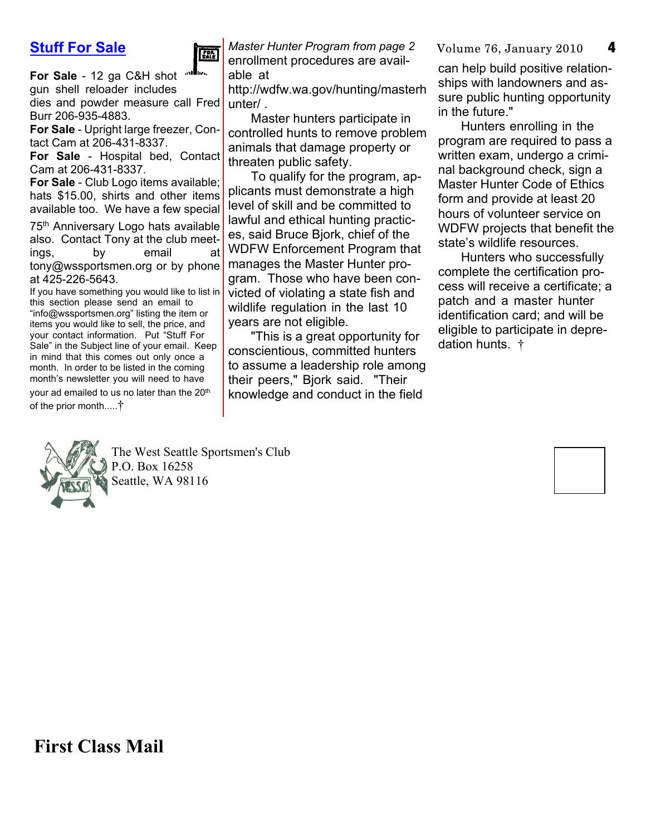### **Stuff For Sale**



**For Sale** - 12 ga C&H shot gun shell reloader includes dies and powder measure call Fred unter/. Burr 206-935-4883.

**For Sale** - Upright large freezer, Contact Cam at 206-431-8337.

**For Sale** - Hospital bed, Contact Cam at 206-431-8337.

**For Sale** - Club Logo items available; hats \$15.00, shirts and other items available too. We have a few special

75<sup>th</sup> Anniversary Logo hats available also. Contact Tony at the club meetings, by email at tony@wssportsmen.org or by phone at 425-226-5643.

If you have something you would like to list in this section please send an email to "info@wssportsmen.org" listing the item or items you would like to sell, the price, and your contact information. Put "Stuff For Sale" in the Subject line of your email. Keep in mind that this comes out only once a month. In order to be listed in the coming month's newsletter you will need to have your ad emailed to us no later than the 20<sup>th</sup> of the prior month.....†

*Master Hunter Program from page 2* Volume 76, January 2010 enrollment procedures are available at

http://wdfw.wa.gov/hunting/masterh

Master hunters participate in controlled hunts to remove problem animals that damage property or threaten public safety.

To qualify for the program, applicants must demonstrate a high level of skill and be committed to lawful and ethical hunting practices, said Bruce Bjork, chief of the WDFW Enforcement Program that manages the Master Hunter program. Those who have been convicted of violating a state fish and wildlife regulation in the last 10 years are not eligible.

"This is a great opportunity for conscientious, committed hunters to assume a leadership role among their peers," Bjork said. "Their knowledge and conduct in the field

can help build positive relationships with landowners and assure public hunting opportunity in the future."

Hunters enrolling in the program are required to pass a written exam, undergo a criminal background check, sign a Master Hunter Code of Ethics form and provide at least 20 hours of volunteer service on WDFW projects that benefit the state's wildlife resources.

Hunters who successfully complete the certification process will receive a certificate; a patch and a master hunter identification card; and will be eligible to participate in depredation hunts. †



The West Seattle Sportsmen's Club P.O. Box 16258 Seattle, WA 98116

**First Class Mail**